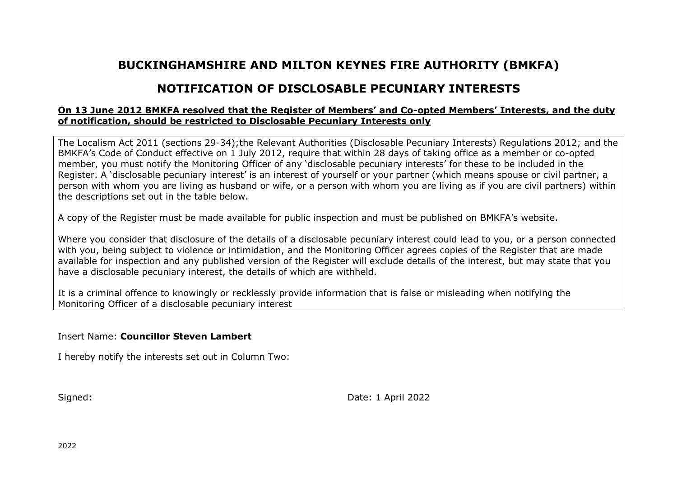## **BUCKINGHAMSHIRE AND MILTON KEYNES FIRE AUTHORITY (BMKFA)**

## **NOTIFICATION OF DISCLOSABLE PECUNIARY INTERESTS**

## **On 13 June 2012 BMKFA resolved that the Register of Members' and Co-opted Members' Interests, and the duty of notification, should be restricted to Disclosable Pecuniary Interests only**

The Localism Act 2011 (sections 29-34);the Relevant Authorities (Disclosable Pecuniary Interests) Regulations 2012; and the BMKFA's Code of Conduct effective on 1 July 2012, require that within 28 days of taking office as a member or co-opted member, you must notify the Monitoring Officer of any 'disclosable pecuniary interests' for these to be included in the Register. A 'disclosable pecuniary interest' is an interest of yourself or your partner (which means spouse or civil partner, a person with whom you are living as husband or wife, or a person with whom you are living as if you are civil partners) within the descriptions set out in the table below.

A copy of the Register must be made available for public inspection and must be published on BMKFA's website.

Where you consider that disclosure of the details of a disclosable pecuniary interest could lead to you, or a person connected with you, being subject to violence or intimidation, and the Monitoring Officer agrees copies of the Register that are made available for inspection and any published version of the Register will exclude details of the interest, but may state that you have a disclosable pecuniary interest, the details of which are withheld.

It is a criminal offence to knowingly or recklessly provide information that is false or misleading when notifying the Monitoring Officer of a disclosable pecuniary interest

Insert Name: **Councillor Steven Lambert**

I hereby notify the interests set out in Column Two:

Signed: Signed: 2022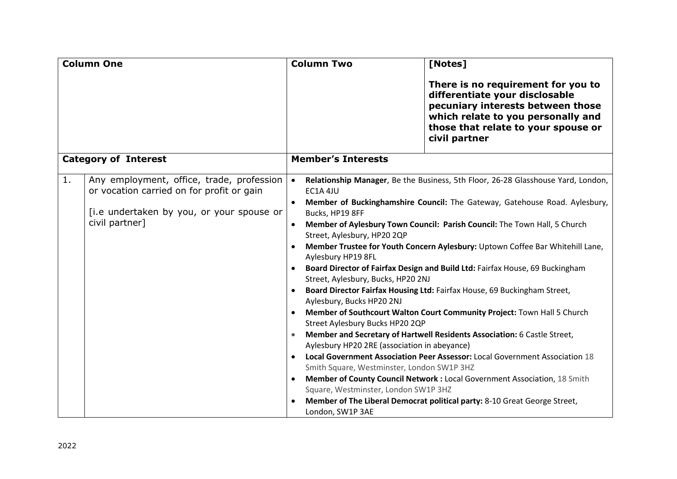| <b>Column One</b>           |                                                                                                                                                       | <b>Column Two</b><br>[Notes]                                                                                                                                                                                                                                                                                                                                                                                                                                                                                                                                                                                                                                                                                                                                                                                                                                                                                                                                                                                                                                                                                                                                                                                                                                                        |  |
|-----------------------------|-------------------------------------------------------------------------------------------------------------------------------------------------------|-------------------------------------------------------------------------------------------------------------------------------------------------------------------------------------------------------------------------------------------------------------------------------------------------------------------------------------------------------------------------------------------------------------------------------------------------------------------------------------------------------------------------------------------------------------------------------------------------------------------------------------------------------------------------------------------------------------------------------------------------------------------------------------------------------------------------------------------------------------------------------------------------------------------------------------------------------------------------------------------------------------------------------------------------------------------------------------------------------------------------------------------------------------------------------------------------------------------------------------------------------------------------------------|--|
|                             |                                                                                                                                                       | There is no requirement for you to<br>differentiate your disclosable<br>pecuniary interests between those<br>which relate to you personally and<br>those that relate to your spouse or<br>civil partner                                                                                                                                                                                                                                                                                                                                                                                                                                                                                                                                                                                                                                                                                                                                                                                                                                                                                                                                                                                                                                                                             |  |
| <b>Category of Interest</b> |                                                                                                                                                       | <b>Member's Interests</b>                                                                                                                                                                                                                                                                                                                                                                                                                                                                                                                                                                                                                                                                                                                                                                                                                                                                                                                                                                                                                                                                                                                                                                                                                                                           |  |
| 1.                          | Any employment, office, trade, profession<br>or vocation carried on for profit or gain<br>[i.e undertaken by you, or your spouse or<br>civil partner] | Relationship Manager, Be the Business, 5th Floor, 26-28 Glasshouse Yard, London,<br>$\bullet$<br>EC1A 4JU<br>Member of Buckinghamshire Council: The Gateway, Gatehouse Road. Aylesbury,<br>Bucks, HP19 8FF<br>Member of Aylesbury Town Council: Parish Council: The Town Hall, 5 Church<br>Street, Aylesbury, HP20 2QP<br>Member Trustee for Youth Concern Aylesbury: Uptown Coffee Bar Whitehill Lane,<br>Aylesbury HP19 8FL<br>Board Director of Fairfax Design and Build Ltd: Fairfax House, 69 Buckingham<br>$\bullet$<br>Street, Aylesbury, Bucks, HP20 2NJ<br>Board Director Fairfax Housing Ltd: Fairfax House, 69 Buckingham Street,<br>Aylesbury, Bucks HP20 2NJ<br>Member of Southcourt Walton Court Community Project: Town Hall 5 Church<br>Street Aylesbury Bucks HP20 2QP<br>Member and Secretary of Hartwell Residents Association: 6 Castle Street,<br>Aylesbury HP20 2RE (association in abeyance)<br>Local Government Association Peer Assessor: Local Government Association 18<br>Smith Square, Westminster, London SW1P 3HZ<br>Member of County Council Network : Local Government Association, 18 Smith<br>$\bullet$<br>Square, Westminster, London SW1P 3HZ<br>Member of The Liberal Democrat political party: 8-10 Great George Street,<br>London, SW1P 3AE |  |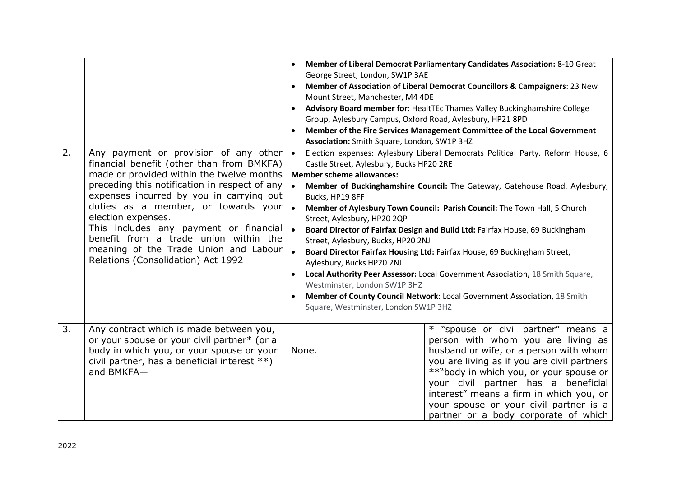| 2. | Any payment or provision of any other $\cdot$<br>financial benefit (other than from BMKFA)<br>made or provided within the twelve months<br>preceding this notification in respect of any<br>expenses incurred by you in carrying out<br>duties as a member, or towards your<br>election expenses.<br>This includes any payment or financial<br>benefit from a trade union within the<br>meaning of the Trade Union and Labour<br>Relations (Consolidation) Act 1992 | George Street, London, SW1P 3AE<br>Mount Street, Manchester, M4 4DE<br>Group, Aylesbury Campus, Oxford Road, Aylesbury, HP21 8PD<br>Association: Smith Square, London, SW1P 3HZ<br>Castle Street, Aylesbury, Bucks HP20 2RE<br><b>Member scheme allowances:</b><br>Bucks, HP19 8FF<br>Street, Aylesbury, HP20 2QP<br>Street, Aylesbury, Bucks, HP20 2NJ<br>Aylesbury, Bucks HP20 2NJ<br>$\bullet$<br>Westminster, London SW1P 3HZ<br>Square, Westminster, London SW1P 3HZ | Member of Liberal Democrat Parliamentary Candidates Association: 8-10 Great<br>Member of Association of Liberal Democrat Councillors & Campaigners: 23 New<br>Advisory Board member for: HealtTEc Thames Valley Buckinghamshire College<br>Member of the Fire Services Management Committee of the Local Government<br>Election expenses: Aylesbury Liberal Democrats Political Party. Reform House, 6<br>Member of Buckinghamshire Council: The Gateway, Gatehouse Road. Aylesbury,<br>Member of Aylesbury Town Council: Parish Council: The Town Hall, 5 Church<br>Board Director of Fairfax Design and Build Ltd: Fairfax House, 69 Buckingham<br>Board Director Fairfax Housing Ltd: Fairfax House, 69 Buckingham Street,<br>Local Authority Peer Assessor: Local Government Association, 18 Smith Square,<br>Member of County Council Network: Local Government Association, 18 Smith |
|----|---------------------------------------------------------------------------------------------------------------------------------------------------------------------------------------------------------------------------------------------------------------------------------------------------------------------------------------------------------------------------------------------------------------------------------------------------------------------|---------------------------------------------------------------------------------------------------------------------------------------------------------------------------------------------------------------------------------------------------------------------------------------------------------------------------------------------------------------------------------------------------------------------------------------------------------------------------|--------------------------------------------------------------------------------------------------------------------------------------------------------------------------------------------------------------------------------------------------------------------------------------------------------------------------------------------------------------------------------------------------------------------------------------------------------------------------------------------------------------------------------------------------------------------------------------------------------------------------------------------------------------------------------------------------------------------------------------------------------------------------------------------------------------------------------------------------------------------------------------------|
| 3. | Any contract which is made between you,<br>or your spouse or your civil partner* (or a<br>body in which you, or your spouse or your<br>civil partner, has a beneficial interest **)<br>and BMKFA-                                                                                                                                                                                                                                                                   | None.                                                                                                                                                                                                                                                                                                                                                                                                                                                                     | * "spouse or civil partner" means a<br>person with whom you are living as<br>husband or wife, or a person with whom<br>you are living as if you are civil partners<br>**"body in which you, or your spouse or<br>your civil partner has a beneficial<br>interest" means a firm in which you, or<br>your spouse or your civil partner is a<br>partner or a body corporate of which                                                                                                                                                                                                                                                                                                                                                                                                                                                                                                          |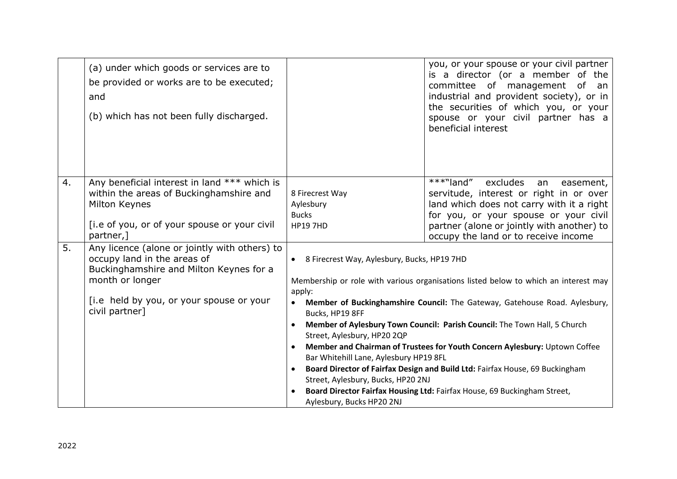|    | (a) under which goods or services are to<br>be provided or works are to be executed;<br>and<br>(b) which has not been fully discharged.                                                                  |                                                                                                                                                                                                                                                                                                                                                                                                                                                                                                                                                                                                                                                                                                                               | you, or your spouse or your civil partner<br>is a director (or a member of the<br>committee of management of an<br>industrial and provident society), or in<br>the securities of which you, or your<br>spouse or your civil partner has a<br>beneficial interest |
|----|----------------------------------------------------------------------------------------------------------------------------------------------------------------------------------------------------------|-------------------------------------------------------------------------------------------------------------------------------------------------------------------------------------------------------------------------------------------------------------------------------------------------------------------------------------------------------------------------------------------------------------------------------------------------------------------------------------------------------------------------------------------------------------------------------------------------------------------------------------------------------------------------------------------------------------------------------|------------------------------------------------------------------------------------------------------------------------------------------------------------------------------------------------------------------------------------------------------------------|
| 4. | Any beneficial interest in land *** which is<br>within the areas of Buckinghamshire and<br>Milton Keynes<br>[i.e of you, or of your spouse or your civil<br>partner,                                     | 8 Firecrest Way<br>Aylesbury<br><b>Bucks</b><br><b>HP19 7HD</b>                                                                                                                                                                                                                                                                                                                                                                                                                                                                                                                                                                                                                                                               | ***"land" excludes<br>easement,<br>an<br>servitude, interest or right in or over<br>land which does not carry with it a right<br>for you, or your spouse or your civil<br>partner (alone or jointly with another) to<br>occupy the land or to receive income     |
| 5. | Any licence (alone or jointly with others) to<br>occupy land in the areas of<br>Buckinghamshire and Milton Keynes for a<br>month or longer<br>[i.e held by you, or your spouse or your<br>civil partner] | 8 Firecrest Way, Aylesbury, Bucks, HP19 7HD<br>Membership or role with various organisations listed below to which an interest may<br>apply:<br>Member of Buckinghamshire Council: The Gateway, Gatehouse Road. Aylesbury,<br>Bucks, HP19 8FF<br>Member of Aylesbury Town Council: Parish Council: The Town Hall, 5 Church<br>Street, Aylesbury, HP20 2QP<br>Member and Chairman of Trustees for Youth Concern Aylesbury: Uptown Coffee<br>$\bullet$<br>Bar Whitehill Lane, Aylesbury HP19 8FL<br>Board Director of Fairfax Design and Build Ltd: Fairfax House, 69 Buckingham<br>Street, Aylesbury, Bucks, HP20 2NJ<br>Board Director Fairfax Housing Ltd: Fairfax House, 69 Buckingham Street,<br>Aylesbury, Bucks HP20 2NJ |                                                                                                                                                                                                                                                                  |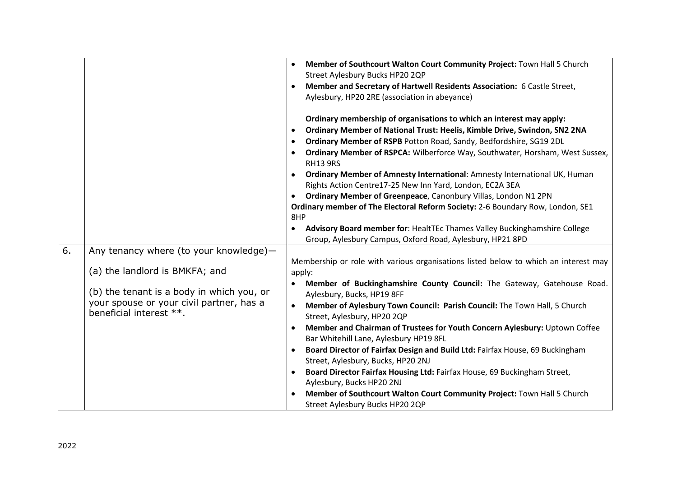|    |                                           | Member of Southcourt Walton Court Community Project: Town Hall 5 Church<br>$\bullet$                         |
|----|-------------------------------------------|--------------------------------------------------------------------------------------------------------------|
|    |                                           | Street Aylesbury Bucks HP20 2QP                                                                              |
|    |                                           | Member and Secretary of Hartwell Residents Association: 6 Castle Street,<br>$\bullet$                        |
|    |                                           | Aylesbury, HP20 2RE (association in abeyance)                                                                |
|    |                                           | Ordinary membership of organisations to which an interest may apply:                                         |
|    |                                           | Ordinary Member of National Trust: Heelis, Kimble Drive, Swindon, SN2 2NA<br>$\bullet$                       |
|    |                                           | Ordinary Member of RSPB Potton Road, Sandy, Bedfordshire, SG19 2DL<br>$\bullet$                              |
|    |                                           |                                                                                                              |
|    |                                           | Ordinary Member of RSPCA: Wilberforce Way, Southwater, Horsham, West Sussex,<br>$\bullet$<br><b>RH13 9RS</b> |
|    |                                           | Ordinary Member of Amnesty International: Amnesty International UK, Human                                    |
|    |                                           | Rights Action Centre17-25 New Inn Yard, London, EC2A 3EA                                                     |
|    |                                           | Ordinary Member of Greenpeace, Canonbury Villas, London N1 2PN<br>$\bullet$                                  |
|    |                                           | Ordinary member of The Electoral Reform Society: 2-6 Boundary Row, London, SE1                               |
|    |                                           | 8HP                                                                                                          |
|    |                                           | Advisory Board member for: HealtTEc Thames Valley Buckinghamshire College<br>$\bullet$                       |
|    |                                           | Group, Aylesbury Campus, Oxford Road, Aylesbury, HP21 8PD                                                    |
| 6. | Any tenancy where (to your knowledge)-    |                                                                                                              |
|    |                                           | Membership or role with various organisations listed below to which an interest may                          |
|    | (a) the landlord is BMKFA; and            | apply:                                                                                                       |
|    |                                           | Member of Buckinghamshire County Council: The Gateway, Gatehouse Road.                                       |
|    | (b) the tenant is a body in which you, or | Aylesbury, Bucks, HP19 8FF                                                                                   |
|    | your spouse or your civil partner, has a  | Member of Aylesbury Town Council: Parish Council: The Town Hall, 5 Church<br>$\bullet$                       |
|    | beneficial interest **.                   | Street, Aylesbury, HP20 2QP                                                                                  |
|    |                                           | Member and Chairman of Trustees for Youth Concern Aylesbury: Uptown Coffee<br>$\bullet$                      |
|    |                                           | Bar Whitehill Lane, Aylesbury HP19 8FL                                                                       |
|    |                                           | Board Director of Fairfax Design and Build Ltd: Fairfax House, 69 Buckingham<br>$\bullet$                    |
|    |                                           | Street, Aylesbury, Bucks, HP20 2NJ                                                                           |
|    |                                           | Board Director Fairfax Housing Ltd: Fairfax House, 69 Buckingham Street,<br>$\bullet$                        |
|    |                                           | Aylesbury, Bucks HP20 2NJ                                                                                    |
|    |                                           | Member of Southcourt Walton Court Community Project: Town Hall 5 Church                                      |
|    |                                           | Street Aylesbury Bucks HP20 2QP                                                                              |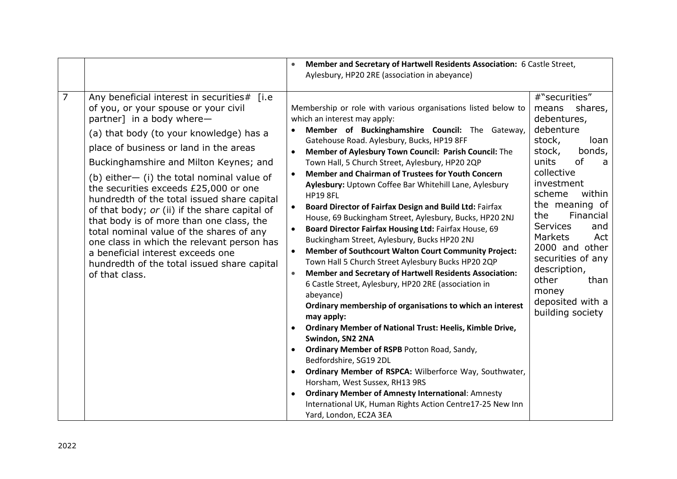|                |                                                                                                                                                                                                                                                                                                                                                                                                                                                                                                                                                                                                                                                                                       | Member and Secretary of Hartwell Residents Association: 6 Castle Street,                                                                                                                                                                                                                                                                                                                                                                                                                                                                                                                                                                                                                                                                                                                                                                                                                                                                                                                                                                                                                                                                                                                                                                                                                                                                                                                                                                                                               |                                                                                                                                                                                                                                                                                                                                                                                    |
|----------------|---------------------------------------------------------------------------------------------------------------------------------------------------------------------------------------------------------------------------------------------------------------------------------------------------------------------------------------------------------------------------------------------------------------------------------------------------------------------------------------------------------------------------------------------------------------------------------------------------------------------------------------------------------------------------------------|----------------------------------------------------------------------------------------------------------------------------------------------------------------------------------------------------------------------------------------------------------------------------------------------------------------------------------------------------------------------------------------------------------------------------------------------------------------------------------------------------------------------------------------------------------------------------------------------------------------------------------------------------------------------------------------------------------------------------------------------------------------------------------------------------------------------------------------------------------------------------------------------------------------------------------------------------------------------------------------------------------------------------------------------------------------------------------------------------------------------------------------------------------------------------------------------------------------------------------------------------------------------------------------------------------------------------------------------------------------------------------------------------------------------------------------------------------------------------------------|------------------------------------------------------------------------------------------------------------------------------------------------------------------------------------------------------------------------------------------------------------------------------------------------------------------------------------------------------------------------------------|
|                |                                                                                                                                                                                                                                                                                                                                                                                                                                                                                                                                                                                                                                                                                       | Aylesbury, HP20 2RE (association in abeyance)                                                                                                                                                                                                                                                                                                                                                                                                                                                                                                                                                                                                                                                                                                                                                                                                                                                                                                                                                                                                                                                                                                                                                                                                                                                                                                                                                                                                                                          |                                                                                                                                                                                                                                                                                                                                                                                    |
| $\overline{7}$ | Any beneficial interest in securities# [i.e<br>of you, or your spouse or your civil<br>partner] in a body where-<br>(a) that body (to your knowledge) has a<br>place of business or land in the areas<br>Buckinghamshire and Milton Keynes; and<br>(b) either $-$ (i) the total nominal value of<br>the securities exceeds £25,000 or one<br>hundredth of the total issued share capital<br>of that body; or (ii) if the share capital of<br>that body is of more than one class, the<br>total nominal value of the shares of any<br>one class in which the relevant person has<br>a beneficial interest exceeds one<br>hundredth of the total issued share capital<br>of that class. | Membership or role with various organisations listed below to<br>which an interest may apply:<br>Member of Buckinghamshire Council: The Gateway,<br>Gatehouse Road. Aylesbury, Bucks, HP19 8FF<br>Member of Aylesbury Town Council: Parish Council: The<br>Town Hall, 5 Church Street, Aylesbury, HP20 2QP<br><b>Member and Chairman of Trustees for Youth Concern</b><br>$\bullet$<br>Aylesbury: Uptown Coffee Bar Whitehill Lane, Aylesbury<br><b>HP19 8FL</b><br><b>Board Director of Fairfax Design and Build Ltd: Fairfax</b><br>$\bullet$<br>House, 69 Buckingham Street, Aylesbury, Bucks, HP20 2NJ<br>Board Director Fairfax Housing Ltd: Fairfax House, 69<br>Buckingham Street, Aylesbury, Bucks HP20 2NJ<br><b>Member of Southcourt Walton Court Community Project:</b><br>Town Hall 5 Church Street Aylesbury Bucks HP20 2QP<br><b>Member and Secretary of Hartwell Residents Association:</b><br>6 Castle Street, Aylesbury, HP20 2RE (association in<br>abeyance)<br>Ordinary membership of organisations to which an interest<br>may apply:<br><b>Ordinary Member of National Trust: Heelis, Kimble Drive,</b><br>Swindon, SN2 2NA<br>Ordinary Member of RSPB Potton Road, Sandy,<br>Bedfordshire, SG19 2DL<br>Ordinary Member of RSPCA: Wilberforce Way, Southwater,<br>$\bullet$<br>Horsham, West Sussex, RH13 9RS<br><b>Ordinary Member of Amnesty International: Amnesty</b><br>International UK, Human Rights Action Centre17-25 New Inn<br>Yard, London, EC2A 3EA | #"securities"<br>shares,<br>means<br>debentures,<br>debenture<br>stock,<br>loan<br>bonds,<br>stock,<br>units<br>0f<br>a<br>collective<br>investment<br>scheme<br>within<br>the meaning of<br>the<br>Financial<br><b>Services</b><br>and<br>Markets<br>Act<br>2000 and other<br>securities of any<br>description,<br>other<br>than<br>money<br>deposited with a<br>building society |